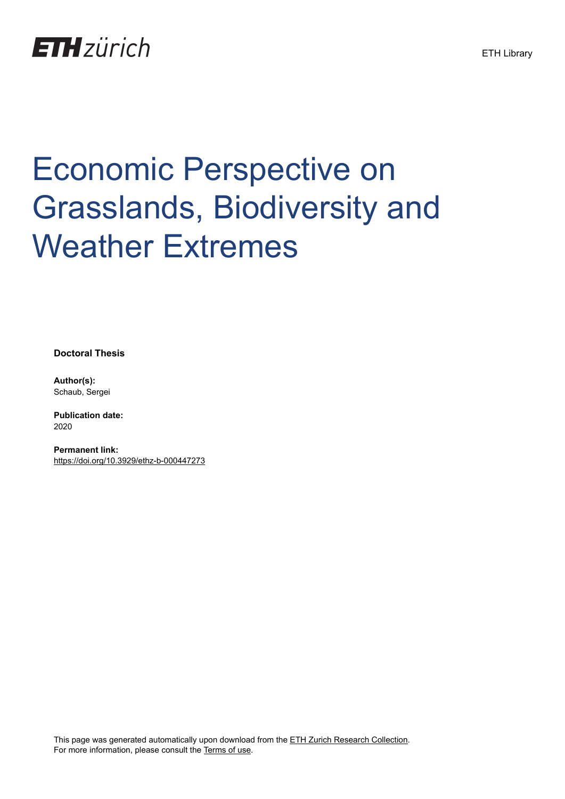

## Economic Perspective on Grasslands, Biodiversity and Weather Extremes

**Doctoral Thesis**

**Author(s):** Schaub, Sergei

**Publication date:** 2020

**Permanent link:** <https://doi.org/10.3929/ethz-b-000447273>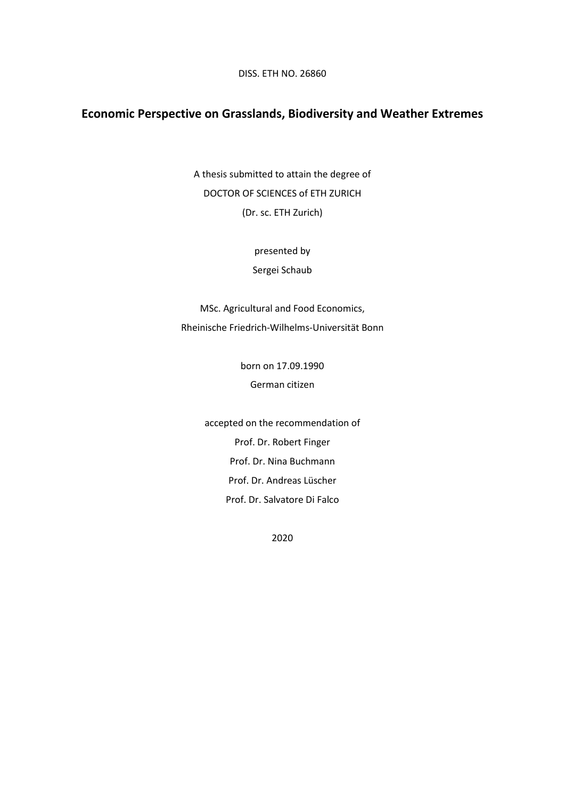DISS. ETH NO. 26860

## **Economic Perspective on Grasslands, Biodiversity and Weather Extremes**

A thesis submitted to attain the degree of DOCTOR OF SCIENCES of ETH ZURICH (Dr. sc. ETH Zurich)

presented by

Sergei Schaub

MSc. Agricultural and Food Economics, Rheinische Friedrich-Wilhelms-Universität Bonn

> born on 17.09.1990 German citizen

accepted on the recommendation of Prof. Dr. Robert Finger Prof. Dr. Nina Buchmann Prof. Dr. Andreas Lüscher Prof. Dr. Salvatore Di Falco

2020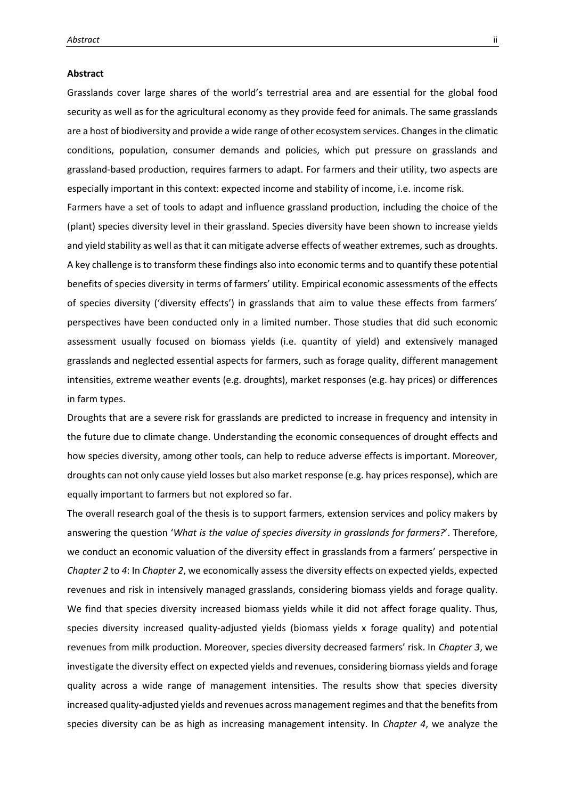## **Abstract**

Grasslands cover large shares of the world's terrestrial area and are essential for the global food security as well as for the agricultural economy as they provide feed for animals. The same grasslands are a host of biodiversity and provide a wide range of other ecosystem services. Changes in the climatic conditions, population, consumer demands and policies, which put pressure on grasslands and grassland-based production, requires farmers to adapt. For farmers and their utility, two aspects are especially important in this context: expected income and stability of income, i.e. income risk.

Farmers have a set of tools to adapt and influence grassland production, including the choice of the (plant) species diversity level in their grassland. Species diversity have been shown to increase yields and yield stability as well as that it can mitigate adverse effects of weather extremes, such as droughts. A key challenge is to transform these findings also into economic terms and to quantify these potential benefits of species diversity in terms of farmers' utility. Empirical economic assessments of the effects of species diversity ('diversity effects') in grasslands that aim to value these effects from farmers' perspectives have been conducted only in a limited number. Those studies that did such economic assessment usually focused on biomass yields (i.e. quantity of yield) and extensively managed grasslands and neglected essential aspects for farmers, such as forage quality, different management intensities, extreme weather events (e.g. droughts), market responses (e.g. hay prices) or differences in farm types.

Droughts that are a severe risk for grasslands are predicted to increase in frequency and intensity in the future due to climate change. Understanding the economic consequences of drought effects and how species diversity, among other tools, can help to reduce adverse effects is important. Moreover, droughts can not only cause yield losses but also market response (e.g. hay prices response), which are equally important to farmers but not explored so far.

The overall research goal of the thesis is to support farmers, extension services and policy makers by answering the question '*What is the value of species diversity in grasslands for farmers?*'. Therefore, we conduct an economic valuation of the diversity effect in grasslands from a farmers' perspective in *Chapter 2* to *4*: In *Chapter 2*, we economically assess the diversity effects on expected yields, expected revenues and risk in intensively managed grasslands, considering biomass yields and forage quality. We find that species diversity increased biomass yields while it did not affect forage quality. Thus, species diversity increased quality-adjusted yields (biomass yields x forage quality) and potential revenues from milk production. Moreover, species diversity decreased farmers' risk. In *Chapter 3*, we investigate the diversity effect on expected yields and revenues, considering biomass yields and forage quality across a wide range of management intensities. The results show that species diversity increased quality-adjusted yields and revenues across management regimes and that the benefits from species diversity can be as high as increasing management intensity. In *Chapter 4*, we analyze the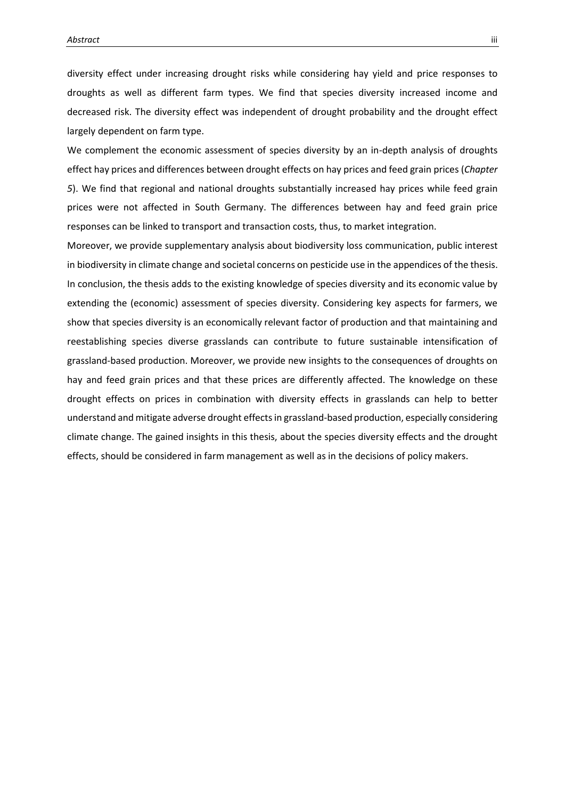diversity effect under increasing drought risks while considering hay yield and price responses to droughts as well as different farm types. We find that species diversity increased income and decreased risk. The diversity effect was independent of drought probability and the drought effect largely dependent on farm type.

We complement the economic assessment of species diversity by an in-depth analysis of droughts effect hay prices and differences between drought effects on hay prices and feed grain prices (*Chapter 5*). We find that regional and national droughts substantially increased hay prices while feed grain prices were not affected in South Germany. The differences between hay and feed grain price responses can be linked to transport and transaction costs, thus, to market integration.

Moreover, we provide supplementary analysis about biodiversity loss communication, public interest in biodiversity in climate change and societal concerns on pesticide use in the appendices of the thesis. In conclusion, the thesis adds to the existing knowledge of species diversity and its economic value by extending the (economic) assessment of species diversity. Considering key aspects for farmers, we show that species diversity is an economically relevant factor of production and that maintaining and reestablishing species diverse grasslands can contribute to future sustainable intensification of grassland-based production. Moreover, we provide new insights to the consequences of droughts on hay and feed grain prices and that these prices are differently affected. The knowledge on these drought effects on prices in combination with diversity effects in grasslands can help to better understand and mitigate adverse drought effects in grassland-based production, especially considering climate change. The gained insights in this thesis, about the species diversity effects and the drought effects, should be considered in farm management as well as in the decisions of policy makers.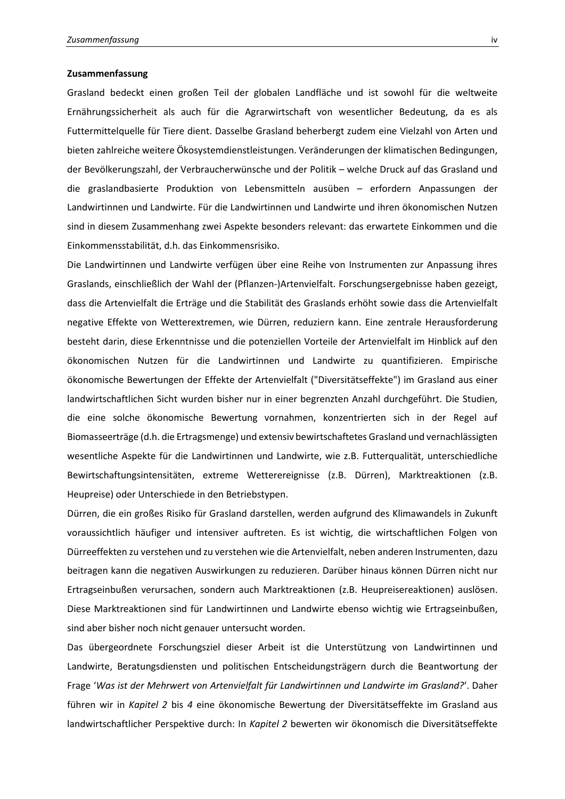## **Zusammenfassung**

Grasland bedeckt einen großen Teil der globalen Landfläche und ist sowohl für die weltweite Ernährungssicherheit als auch für die Agrarwirtschaft von wesentlicher Bedeutung, da es als Futtermittelquelle für Tiere dient. Dasselbe Grasland beherbergt zudem eine Vielzahl von Arten und bieten zahlreiche weitere Ökosystemdienstleistungen. Veränderungen der klimatischen Bedingungen, der Bevölkerungszahl, der Verbraucherwünsche und der Politik – welche Druck auf das Grasland und die graslandbasierte Produktion von Lebensmitteln ausüben – erfordern Anpassungen der Landwirtinnen und Landwirte. Für die Landwirtinnen und Landwirte und ihren ökonomischen Nutzen sind in diesem Zusammenhang zwei Aspekte besonders relevant: das erwartete Einkommen und die Einkommensstabilität, d.h. das Einkommensrisiko.

Die Landwirtinnen und Landwirte verfügen über eine Reihe von Instrumenten zur Anpassung ihres Graslands, einschließlich der Wahl der (Pflanzen-)Artenvielfalt. Forschungsergebnisse haben gezeigt, dass die Artenvielfalt die Erträge und die Stabilität des Graslands erhöht sowie dass die Artenvielfalt negative Effekte von Wetterextremen, wie Dürren, reduziern kann. Eine zentrale Herausforderung besteht darin, diese Erkenntnisse und die potenziellen Vorteile der Artenvielfalt im Hinblick auf den ökonomischen Nutzen für die Landwirtinnen und Landwirte zu quantifizieren. Empirische ökonomische Bewertungen der Effekte der Artenvielfalt ("Diversitätseffekte") im Grasland aus einer landwirtschaftlichen Sicht wurden bisher nur in einer begrenzten Anzahl durchgeführt. Die Studien, die eine solche ökonomische Bewertung vornahmen, konzentrierten sich in der Regel auf Biomasseerträge (d.h. die Ertragsmenge) und extensiv bewirtschaftetes Grasland und vernachlässigten wesentliche Aspekte für die Landwirtinnen und Landwirte, wie z.B. Futterqualität, unterschiedliche Bewirtschaftungsintensitäten, extreme Wetterereignisse (z.B. Dürren), Marktreaktionen (z.B. Heupreise) oder Unterschiede in den Betriebstypen.

Dürren, die ein großes Risiko für Grasland darstellen, werden aufgrund des Klimawandels in Zukunft voraussichtlich häufiger und intensiver auftreten. Es ist wichtig, die wirtschaftlichen Folgen von Dürreeffekten zu verstehen und zu verstehen wie die Artenvielfalt, neben anderen Instrumenten, dazu beitragen kann die negativen Auswirkungen zu reduzieren. Darüber hinaus können Dürren nicht nur Ertragseinbußen verursachen, sondern auch Marktreaktionen (z.B. Heupreisereaktionen) auslösen. Diese Marktreaktionen sind für Landwirtinnen und Landwirte ebenso wichtig wie Ertragseinbußen, sind aber bisher noch nicht genauer untersucht worden.

Das übergeordnete Forschungsziel dieser Arbeit ist die Unterstützung von Landwirtinnen und Landwirte, Beratungsdiensten und politischen Entscheidungsträgern durch die Beantwortung der Frage '*Was ist der Mehrwert von Artenvielfalt für Landwirtinnen und Landwirte im Grasland?*'. Daher führen wir in *Kapitel 2* bis *4* eine ökonomische Bewertung der Diversitätseffekte im Grasland aus landwirtschaftlicher Perspektive durch: In *Kapitel 2* bewerten wir ökonomisch die Diversitätseffekte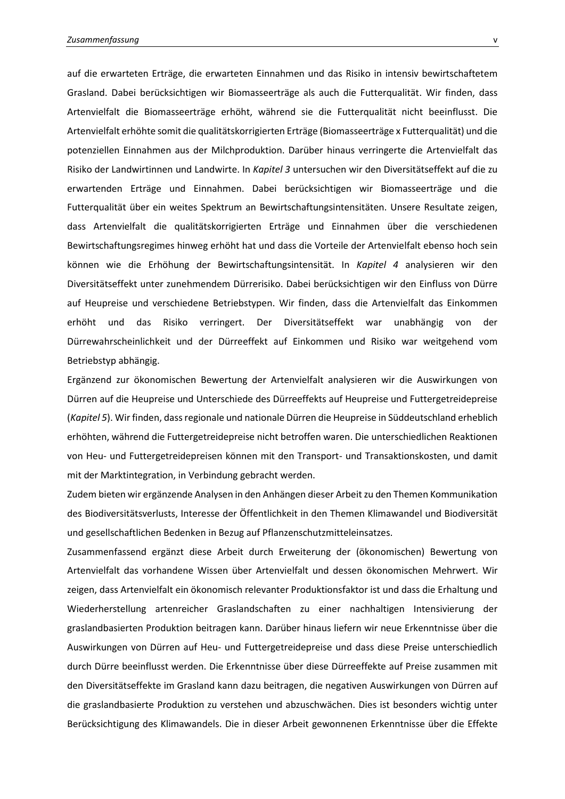auf die erwarteten Erträge, die erwarteten Einnahmen und das Risiko in intensiv bewirtschaftetem Grasland. Dabei berücksichtigen wir Biomasseerträge als auch die Futterqualität. Wir finden, dass Artenvielfalt die Biomasseerträge erhöht, während sie die Futterqualität nicht beeinflusst. Die Artenvielfalt erhöhte somit die qualitätskorrigierten Erträge (Biomasseerträge x Futterqualität) und die potenziellen Einnahmen aus der Milchproduktion. Darüber hinaus verringerte die Artenvielfalt das Risiko der Landwirtinnen und Landwirte. In *Kapitel 3* untersuchen wir den Diversitätseffekt auf die zu erwartenden Erträge und Einnahmen. Dabei berücksichtigen wir Biomasseerträge und die Futterqualität über ein weites Spektrum an Bewirtschaftungsintensitäten. Unsere Resultate zeigen, dass Artenvielfalt die qualitätskorrigierten Erträge und Einnahmen über die verschiedenen Bewirtschaftungsregimes hinweg erhöht hat und dass die Vorteile der Artenvielfalt ebenso hoch sein können wie die Erhöhung der Bewirtschaftungsintensität. In *Kapitel 4* analysieren wir den Diversitätseffekt unter zunehmendem Dürrerisiko. Dabei berücksichtigen wir den Einfluss von Dürre auf Heupreise und verschiedene Betriebstypen. Wir finden, dass die Artenvielfalt das Einkommen erhöht und das Risiko verringert. Der Diversitätseffekt war unabhängig von der Dürrewahrscheinlichkeit und der Dürreeffekt auf Einkommen und Risiko war weitgehend vom Betriebstyp abhängig.

Ergänzend zur ökonomischen Bewertung der Artenvielfalt analysieren wir die Auswirkungen von Dürren auf die Heupreise und Unterschiede des Dürreeffekts auf Heupreise und Futtergetreidepreise (*Kapitel 5*). Wir finden, dass regionale und nationale Dürren die Heupreise in Süddeutschland erheblich erhöhten, während die Futtergetreidepreise nicht betroffen waren. Die unterschiedlichen Reaktionen von Heu- und Futtergetreidepreisen können mit den Transport- und Transaktionskosten, und damit mit der Marktintegration, in Verbindung gebracht werden.

Zudem bieten wir ergänzende Analysen in den Anhängen dieser Arbeit zu den Themen Kommunikation des Biodiversitätsverlusts, Interesse der Öffentlichkeit in den Themen Klimawandel und Biodiversität und gesellschaftlichen Bedenken in Bezug auf Pflanzenschutzmitteleinsatzes.

Zusammenfassend ergänzt diese Arbeit durch Erweiterung der (ökonomischen) Bewertung von Artenvielfalt das vorhandene Wissen über Artenvielfalt und dessen ökonomischen Mehrwert. Wir zeigen, dass Artenvielfalt ein ökonomisch relevanter Produktionsfaktor ist und dass die Erhaltung und Wiederherstellung artenreicher Graslandschaften zu einer nachhaltigen Intensivierung der graslandbasierten Produktion beitragen kann. Darüber hinaus liefern wir neue Erkenntnisse über die Auswirkungen von Dürren auf Heu- und Futtergetreidepreise und dass diese Preise unterschiedlich durch Dürre beeinflusst werden. Die Erkenntnisse über diese Dürreeffekte auf Preise zusammen mit den Diversitätseffekte im Grasland kann dazu beitragen, die negativen Auswirkungen von Dürren auf die graslandbasierte Produktion zu verstehen und abzuschwächen. Dies ist besonders wichtig unter Berücksichtigung des Klimawandels. Die in dieser Arbeit gewonnenen Erkenntnisse über die Effekte